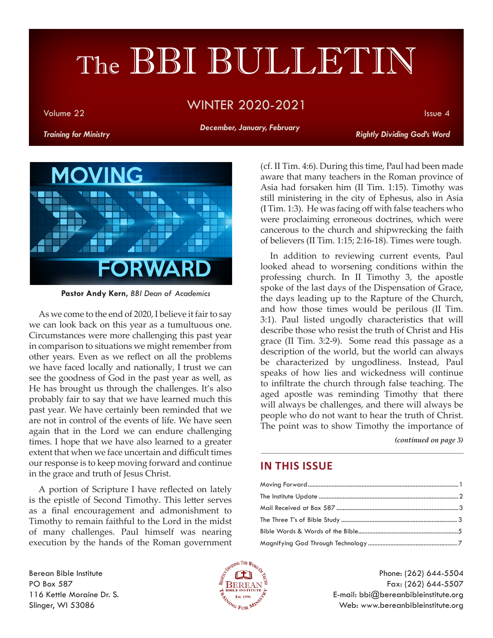# The BBI BULLETIN

#### Volume 22 Issue 4 WINTER 2020-2021

*December, January, February*

*Training for Ministry Rightly Dividing God's Word*



**Pastor Andy Kern,** *BBI Dean of Academics*

As we come to the end of 2020, I believe it fair to say we can look back on this year as a tumultuous one. Circumstances were more challenging this past year in comparison to situations we might remember from other years. Even as we reflect on all the problems we have faced locally and nationally, I trust we can see the goodness of God in the past year as well, as He has brought us through the challenges. It's also probably fair to say that we have learned much this past year. We have certainly been reminded that we are not in control of the events of life. We have seen again that in the Lord we can endure challenging times. I hope that we have also learned to a greater extent that when we face uncertain and difficult times our response is to keep moving forward and continue in the grace and truth of Jesus Christ.

A portion of Scripture I have reflected on lately is the epistle of Second Timothy. This letter serves as a final encouragement and admonishment to Timothy to remain faithful to the Lord in the midst of many challenges. Paul himself was nearing execution by the hands of the Roman government

(cf. II Tim. 4:6). During this time, Paul had been made aware that many teachers in the Roman province of Asia had forsaken him (II Tim. 1:15). Timothy was still ministering in the city of Ephesus, also in Asia (I Tim. 1:3). He was facing off with false teachers who were proclaiming erroneous doctrines, which were cancerous to the church and shipwrecking the faith of believers (II Tim. 1:15; 2:16-18). Times were tough.

In addition to reviewing current events, Paul looked ahead to worsening conditions within the professing church. In II Timothy 3, the apostle spoke of the last days of the Dispensation of Grace, the days leading up to the Rapture of the Church, and how those times would be perilous (II Tim. 3:1). Paul listed ungodly characteristics that will describe those who resist the truth of Christ and His grace (II Tim. 3:2-9). Some read this passage as a description of the world, but the world can always be characterized by ungodliness. Instead, Paul speaks of how lies and wickedness will continue to infiltrate the church through false teaching. The aged apostle was reminding Timothy that there will always be challenges, and there will always be people who do not want to hear the truth of Christ. The point was to show Timothy the importance of

*(continued on page 3)*

#### **IN THIS ISSUE**

Berean Bible Institute PO Box 587 116 Kettle Moraine Dr. S. Slinger, WI 53086



Phone: (262) 644-5504 Fax: (262) 644-5507 E-mail: bbi@bereanbibleinstitute.org Web: www.bereanbibleinstitute.org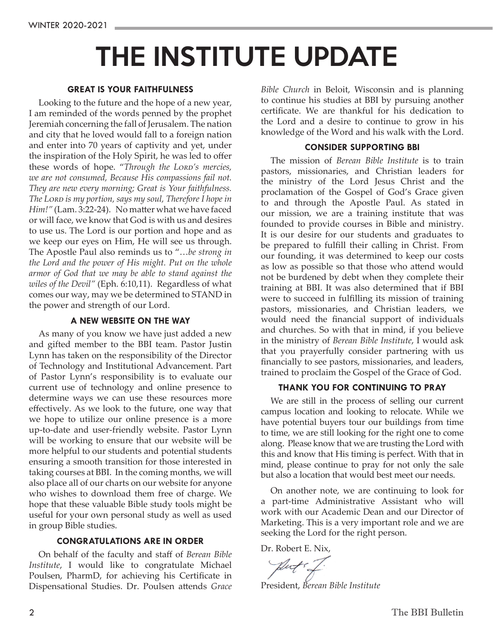## THE INSTITUTE UPDATE

#### **GREAT IS YOUR FAITHFULNESS**

Looking to the future and the hope of a new year, I am reminded of the words penned by the prophet Jeremiah concerning the fall of Jerusalem. The nation and city that he loved would fall to a foreign nation and enter into 70 years of captivity and yet, under the inspiration of the Holy Spirit, he was led to offer these words of hope. "*Through the Lord's mercies, we are not consumed, Because His compassions fail not. They are new every morning; Great is Your faithfulness. The Lord is my portion, says my soul, Therefore I hope in Him!"* (Lam. 3:22-24). No matter what we have faced or will face, we know that God is with us and desires to use us. The Lord is our portion and hope and as we keep our eyes on Him, He will see us through. The Apostle Paul also reminds us to "…*be strong in the Lord and the power of His might. Put on the whole armor of God that we may be able to stand against the wiles of the Devil"* (Eph. 6:10,11). Regardless of what comes our way, may we be determined to STAND in the power and strength of our Lord.

#### **A NEW WEBSITE ON THE WAY**

As many of you know we have just added a new and gifted member to the BBI team. Pastor Justin Lynn has taken on the responsibility of the Director of Technology and Institutional Advancement. Part of Pastor Lynn's responsibility is to evaluate our current use of technology and online presence to determine ways we can use these resources more effectively. As we look to the future, one way that we hope to utilize our online presence is a more up-to-date and user-friendly website. Pastor Lynn will be working to ensure that our website will be more helpful to our students and potential students ensuring a smooth transition for those interested in taking courses at BBI. In the coming months, we will also place all of our charts on our website for anyone who wishes to download them free of charge. We hope that these valuable Bible study tools might be useful for your own personal study as well as used in group Bible studies.

#### **CONGRATULATIONS ARE IN ORDER**

On behalf of the faculty and staff of *Berean Bible Institute*, I would like to congratulate Michael Poulsen, PharmD, for achieving his Certificate in Dispensational Studies. Dr. Poulsen attends *Grace*  *Bible Church* in Beloit, Wisconsin and is planning to continue his studies at BBI by pursuing another certificate. We are thankful for his dedication to the Lord and a desire to continue to grow in his knowledge of the Word and his walk with the Lord.

#### **CONSIDER SUPPORTING BBI**

The mission of *Berean Bible Institute* is to train pastors, missionaries, and Christian leaders for the ministry of the Lord Jesus Christ and the proclamation of the Gospel of God's Grace given to and through the Apostle Paul. As stated in our mission, we are a training institute that was founded to provide courses in Bible and ministry. It is our desire for our students and graduates to be prepared to fulfill their calling in Christ. From our founding, it was determined to keep our costs as low as possible so that those who attend would not be burdened by debt when they complete their training at BBI. It was also determined that if BBI were to succeed in fulfilling its mission of training pastors, missionaries, and Christian leaders, we would need the financial support of individuals and churches. So with that in mind, if you believe in the ministry of *Berean Bible Institute*, I would ask that you prayerfully consider partnering with us financially to see pastors, missionaries, and leaders, trained to proclaim the Gospel of the Grace of God.

#### **THANK YOU FOR CONTINUING TO PRAY**

We are still in the process of selling our current campus location and looking to relocate. While we have potential buyers tour our buildings from time to time, we are still looking for the right one to come along. Please know that we are trusting the Lord with this and know that His timing is perfect. With that in mind, please continue to pray for not only the sale but also a location that would best meet our needs.

On another note, we are continuing to look for a part-time Administrative Assistant who will work with our Academic Dean and our Director of Marketing. This is a very important role and we are seeking the Lord for the right person.

Dr. Robert E. Nix,

Put : ł

President, *Berean Bible Institute*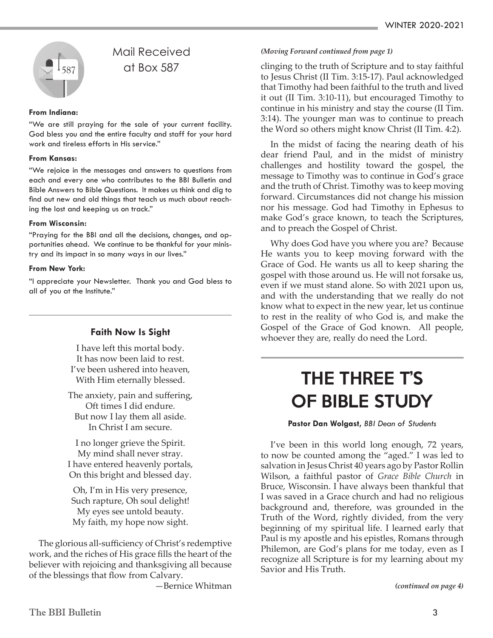

#### Mail Received at Box 587

#### **From Indiana:**

"We are still praying for the sale of your current facility. God bless you and the entire faculty and staff for your hard work and tireless efforts in His service."

#### **From Kansas:**

"We rejoice in the messages and answers to questions from each and every one who contributes to the BBI Bulletin and Bible Answers to Bible Questions. It makes us think and dig to find out new and old things that teach us much about reaching the lost and keeping us on track."

#### **From Wisconsin:**

"Praying for the BBI and all the decisions, changes, and opportunities ahead. We continue to be thankful for your ministry and its impact in so many ways in our lives."

#### **From New York:**

"I appreciate your Newsletter. Thank you and God bless to all of you at the Institute."

#### **Faith Now Is Sight**

I have left this mortal body. It has now been laid to rest. I've been ushered into heaven, With Him eternally blessed.

The anxiety, pain and suffering, Oft times I did endure. But now I lay them all aside. In Christ I am secure.

I no longer grieve the Spirit. My mind shall never stray. I have entered heavenly portals, On this bright and blessed day.

Oh, I'm in His very presence, Such rapture, Oh soul delight! My eyes see untold beauty. My faith, my hope now sight.

The glorious all-sufficiency of Christ's redemptive work, and the riches of His grace fills the heart of the believer with rejoicing and thanksgiving all because of the blessings that flow from Calvary.

—Bernice Whitman

#### *(Moving Forward continued from page 1)*

clinging to the truth of Scripture and to stay faithful to Jesus Christ (II Tim. 3:15-17). Paul acknowledged that Timothy had been faithful to the truth and lived it out (II Tim. 3:10-11), but encouraged Timothy to continue in his ministry and stay the course (II Tim. 3:14). The younger man was to continue to preach the Word so others might know Christ (II Tim. 4:2).

In the midst of facing the nearing death of his dear friend Paul, and in the midst of ministry challenges and hostility toward the gospel, the message to Timothy was to continue in God's grace and the truth of Christ. Timothy was to keep moving forward. Circumstances did not change his mission nor his message. God had Timothy in Ephesus to make God's grace known, to teach the Scriptures, and to preach the Gospel of Christ.

Why does God have you where you are? Because He wants you to keep moving forward with the Grace of God. He wants us all to keep sharing the gospel with those around us. He will not forsake us, even if we must stand alone. So with 2021 upon us, and with the understanding that we really do not know what to expect in the new year, let us continue to rest in the reality of who God is, and make the Gospel of the Grace of God known. All people, whoever they are, really do need the Lord.

## THE THREE T'S OF BIBLE STUDY

#### **Pastor Dan Wolgast,** *BBI Dean of Students*

I've been in this world long enough, 72 years, to now be counted among the "aged." I was led to salvation in Jesus Christ 40 years ago by Pastor Rollin Wilson, a faithful pastor of *Grace Bible Church* in Bruce, Wisconsin. I have always been thankful that I was saved in a Grace church and had no religious background and, therefore, was grounded in the Truth of the Word, rightly divided, from the very beginning of my spiritual life. I learned early that Paul is my apostle and his epistles, Romans through Philemon, are God's plans for me today, even as I recognize all Scripture is for my learning about my Savior and His Truth.

*(continued on page 4)*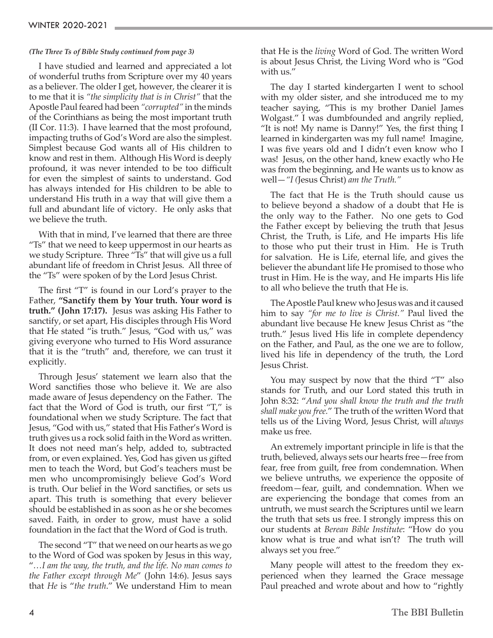#### *(The Three Ts of Bible Study continued from page 3)*

I have studied and learned and appreciated a lot of wonderful truths from Scripture over my 40 years as a believer. The older I get, however, the clearer it is to me that it is *"the simplicity that is in Christ"* that the Apostle Paul feared had been *"corrupted"* in the minds of the Corinthians as being the most important truth (II Cor. 11:3). I have learned that the most profound, impacting truths of God's Word are also the simplest. Simplest because God wants all of His children to know and rest in them. Although His Word is deeply profound, it was never intended to be too difficult for even the simplest of saints to understand. God has always intended for His children to be able to understand His truth in a way that will give them a full and abundant life of victory. He only asks that we believe the truth.

With that in mind, I've learned that there are three "Ts" that we need to keep uppermost in our hearts as we study Scripture. Three "Ts" that will give us a full abundant life of freedom in Christ Jesus. All three of the "Ts" were spoken of by the Lord Jesus Christ.

The first "T" is found in our Lord's prayer to the Father, **"Sanctify them by Your truth. Your word is truth." (John 17:17).** Jesus was asking His Father to sanctify, or set apart, His disciples through His Word that He stated "is truth." Jesus, "God with us," was giving everyone who turned to His Word assurance that it is the "truth" and, therefore, we can trust it explicitly.

Through Jesus' statement we learn also that the Word sanctifies those who believe it. We are also made aware of Jesus dependency on the Father. The fact that the Word of God is truth, our first "T," is foundational when we study Scripture. The fact that Jesus, "God with us," stated that His Father's Word is truth gives us a rock solid faith in the Word as written. It does not need man's help, added to, subtracted from, or even explained. Yes, God has given us gifted men to teach the Word, but God's teachers must be men who uncompromisingly believe God's Word is truth. Our belief in the Word sanctifies, or sets us apart. This truth is something that every believer should be established in as soon as he or she becomes saved. Faith, in order to grow, must have a solid foundation in the fact that the Word of God is truth.

The second "T" that we need on our hearts as we go to the Word of God was spoken by Jesus in this way, "*…I am the way, the truth, and the life. No man comes to the Father except through Me*" (John 14:6). Jesus says that *He* is "*the truth*." We understand Him to mean that He is the *living* Word of God. The written Word is about Jesus Christ, the Living Word who is "God with us."

The day I started kindergarten I went to school with my older sister, and she introduced me to my teacher saying, "This is my brother Daniel James Wolgast." I was dumbfounded and angrily replied, "It is not! My name is Danny!" Yes, the first thing I learned in kindergarten was my full name! Imagine, I was five years old and I didn't even know who I was! Jesus, on the other hand, knew exactly who He was from the beginning, and He wants us to know as well—*"I (*Jesus Christ) *am the Truth."*

The fact that He is the Truth should cause us to believe beyond a shadow of a doubt that He is the only way to the Father. No one gets to God the Father except by believing the truth that Jesus Christ, the Truth, is Life, and He imparts His life to those who put their trust in Him. He is Truth for salvation. He is Life, eternal life, and gives the believer the abundant life He promised to those who trust in Him. He is the way, and He imparts His life to all who believe the truth that He is.

The Apostle Paul knew who Jesus was and it caused him to say *"for me to live is Christ."* Paul lived the abundant live because He knew Jesus Christ as "the truth." Jesus lived His life in complete dependency on the Father, and Paul, as the one we are to follow, lived his life in dependency of the truth, the Lord Jesus Christ.

You may suspect by now that the third "T" also stands for Truth, and our Lord stated this truth in John 8:32: "*And you shall know the truth and the truth shall make you free.*" The truth of the written Word that tells us of the Living Word, Jesus Christ, will *always* make us free.

An extremely important principle in life is that the truth, believed, always sets our hearts free—free from fear, free from guilt, free from condemnation. When we believe untruths, we experience the opposite of freedom—fear, guilt, and condemnation. When we are experiencing the bondage that comes from an untruth, we must search the Scriptures until we learn the truth that sets us free. I strongly impress this on our students at *Berean Bible Institute*: "How do you know what is true and what isn't? The truth will always set you free."

Many people will attest to the freedom they experienced when they learned the Grace message Paul preached and wrote about and how to "rightly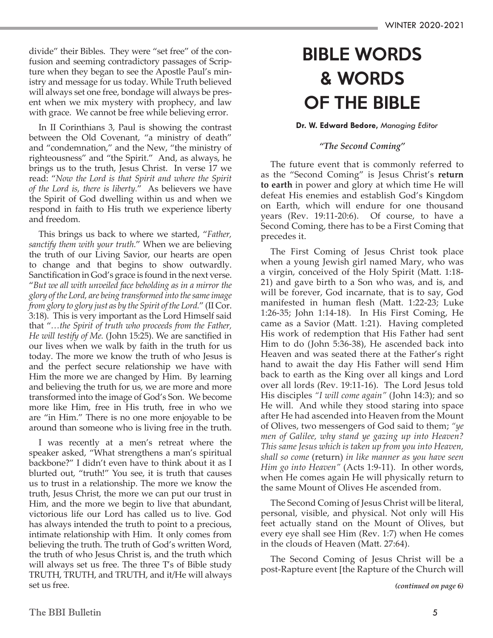divide" their Bibles. They were "set free" of the confusion and seeming contradictory passages of Scripture when they began to see the Apostle Paul's ministry and message for us today. While Truth believed will always set one free, bondage will always be present when we mix mystery with prophecy, and law with grace. We cannot be free while believing error.

In II Corinthians 3, Paul is showing the contrast between the Old Covenant, "a ministry of death" and "condemnation," and the New, "the ministry of righteousness" and "the Spirit." And, as always, he brings us to the truth, Jesus Christ. In verse 17 we read: "*Now the Lord is that Spirit and where the Spirit of the Lord is, there is liberty.*" As believers we have the Spirit of God dwelling within us and when we respond in faith to His truth we experience liberty and freedom.

This brings us back to where we started, "*Father, sanctify them with your truth.*" When we are believing the truth of our Living Savior, our hearts are open to change and that begins to show outwardly. Sanctification in God's grace is found in the next verse. "*But we all with unveiled face beholding as in a mirror the glory of the Lord, are being transformed into the same image from glory to glory just as by the Spirit of the Lord.*" (II Cor. 3:18). This is very important as the Lord Himself said that "*…the Spirit of truth who proceeds from the Father, He will testify of Me.* (John 15:25). We are sanctified in our lives when we walk by faith in the truth for us today. The more we know the truth of who Jesus is and the perfect secure relationship we have with Him the more we are changed by Him. By learning and believing the truth for us, we are more and more transformed into the image of God's Son. We become more like Him, free in His truth, free in who we are "in Him." There is no one more enjoyable to be around than someone who is living free in the truth.

I was recently at a men's retreat where the speaker asked, "What strengthens a man's spiritual backbone?" I didn't even have to think about it as I blurted out, "truth!" You see, it is truth that causes us to trust in a relationship. The more we know the truth, Jesus Christ, the more we can put our trust in Him, and the more we begin to live that abundant, victorious life our Lord has called us to live. God has always intended the truth to point to a precious, intimate relationship with Him. It only comes from believing the truth. The truth of God's written Word, the truth of who Jesus Christ is, and the truth which will always set us free. The three T's of Bible study TRUTH, TRUTH, and TRUTH, and it/He will always set us free.

## BIBLE WORDS & WORDS OF THE BIBLE

#### **Dr. W. Edward Bedore,** *Managing Editor*

#### *"The Second Coming"*

The future event that is commonly referred to as the "Second Coming" is Jesus Christ's **return to earth** in power and glory at which time He will defeat His enemies and establish God's Kingdom on Earth, which will endure for one thousand years (Rev. 19:11-20:6). Of course, to have a Second Coming, there has to be a First Coming that precedes it.

The First Coming of Jesus Christ took place when a young Jewish girl named Mary, who was a virgin, conceived of the Holy Spirit (Matt. 1:18- 21) and gave birth to a Son who was, and is, and will be forever, God incarnate, that is to say, God manifested in human flesh (Matt. 1:22-23; Luke 1:26-35; John 1:14-18). In His First Coming, He came as a Savior (Matt. 1:21). Having completed His work of redemption that His Father had sent Him to do (John 5:36-38), He ascended back into Heaven and was seated there at the Father's right hand to await the day His Father will send Him back to earth as the King over all kings and Lord over all lords (Rev. 19:11-16). The Lord Jesus told His disciples *"I will come again"* (John 14:3); and so He will. And while they stood staring into space after He had ascended into Heaven from the Mount of Olives, two messengers of God said to them; *"ye men of Galilee, why stand ye gazing up into Heaven? This same Jesus which is taken up from you into Heaven, shall so come* (return) *in like manner as you have seen Him go into Heaven"* (Acts 1:9-11). In other words, when He comes again He will physically return to the same Mount of Olives He ascended from.

The Second Coming of Jesus Christ will be literal, personal, visible, and physical. Not only will His feet actually stand on the Mount of Olives, but every eye shall see Him (Rev. 1:7) when He comes in the clouds of Heaven (Matt. 27:64).

The Second Coming of Jesus Christ will be a post-Rapture event [the Rapture of the Church will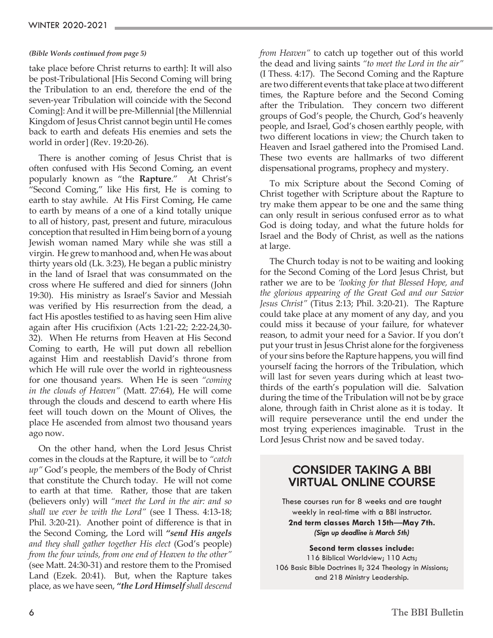#### *(Bible Words continued from page 5)*

take place before Christ returns to earth]: It will also be post-Tribulational [His Second Coming will bring the Tribulation to an end, therefore the end of the seven-year Tribulation will coincide with the Second Coming]: And it will be pre-Millennial [the Millennial Kingdom of Jesus Christ cannot begin until He comes back to earth and defeats His enemies and sets the world in order] (Rev. 19:20-26).

There is another coming of Jesus Christ that is often confused with His Second Coming, an event popularly known as "the **Rapture**." At Christ's "Second Coming," like His first, He is coming to earth to stay awhile. At His First Coming, He came to earth by means of a one of a kind totally unique to all of history, past, present and future, miraculous conception that resulted in Him being born of a young Jewish woman named Mary while she was still a virgin. He grew to manhood and, when He was about thirty years old (Lk. 3:23), He began a public ministry in the land of Israel that was consummated on the cross where He suffered and died for sinners (John 19:30). His ministry as Israel's Savior and Messiah was verified by His resurrection from the dead, a fact His apostles testified to as having seen Him alive again after His crucifixion (Acts 1:21-22; 2:22-24,30- 32). When He returns from Heaven at His Second Coming to earth, He will put down all rebellion against Him and reestablish David's throne from which He will rule over the world in righteousness for one thousand years. When He is seen *"coming in the clouds of Heaven"* (Matt. 27:64), He will come through the clouds and descend to earth where His feet will touch down on the Mount of Olives, the place He ascended from almost two thousand years ago now.

On the other hand, when the Lord Jesus Christ comes in the clouds at the Rapture, it will be to *"catch up"* God's people, the members of the Body of Christ that constitute the Church today. He will not come to earth at that time. Rather, those that are taken (believers only) will *"meet the Lord in the air: and so shall we ever be with the Lord"* (see I Thess. 4:13-18; Phil. 3:20-21). Another point of difference is that in the Second Coming, the Lord will *"send His angels and they shall gather together His elect* (God's people) *from the four winds, from one end of Heaven to the other"* (see Matt. 24:30-31) and restore them to the Promised Land (Ezek. 20:41). But, when the Rapture takes place, as we have seen, *"the Lord Himself shall descend*  *from Heaven"* to catch up together out of this world the dead and living saints *"to meet the Lord in the air"*  (I Thess. 4:17). The Second Coming and the Rapture are two different events that take place at two different times, the Rapture before and the Second Coming after the Tribulation. They concern two different groups of God's people, the Church, God's heavenly people, and Israel, God's chosen earthly people, with two different locations in view; the Church taken to Heaven and Israel gathered into the Promised Land. These two events are hallmarks of two different dispensational programs, prophecy and mystery.

To mix Scripture about the Second Coming of Christ together with Scripture about the Rapture to try make them appear to be one and the same thing can only result in serious confused error as to what God is doing today, and what the future holds for Israel and the Body of Christ, as well as the nations at large.

The Church today is not to be waiting and looking for the Second Coming of the Lord Jesus Christ, but rather we are to be *'looking for that Blessed Hope, and the glorious appearing of the Great God and our Savior Jesus Christ"* (Titus 2:13; Phil. 3:20-21). The Rapture could take place at any moment of any day, and you could miss it because of your failure, for whatever reason, to admit your need for a Savior. If you don't put your trust in Jesus Christ alone for the forgiveness of your sins before the Rapture happens, you will find yourself facing the horrors of the Tribulation, which will last for seven years during which at least twothirds of the earth's population will die. Salvation during the time of the Tribulation will not be by grace alone, through faith in Christ alone as it is today. It will require perseverance until the end under the most trying experiences imaginable. Trust in the Lord Jesus Christ now and be saved today.

#### CONSIDER TAKING A BBI VIRTUAL ONLINE COURSE

These courses run for 8 weeks and are taught weekly in real-time with a BBI instructor. **2nd term classes March 15th**—**May 7th.**  *(Sign up deadline is March 5th)*

**Second term classes include:** 

116 Biblical Worldview; 110 Acts; 106 Basic Bible Doctrines II; 324 Theology in Missions; and 218 Ministry Leadership.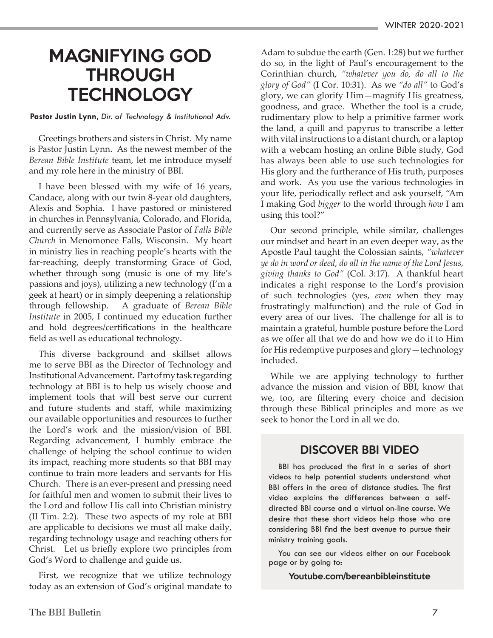### MAGNIFYING GOD **THROUGH TECHNOLOGY**

**Pastor Justin Lynn,** *Dir. of Technology & Institutional Adv.*

Greetings brothers and sisters in Christ. My name is Pastor Justin Lynn. As the newest member of the *Berean Bible Institute* team, let me introduce myself and my role here in the ministry of BBI.

I have been blessed with my wife of 16 years, Candace, along with our twin 8-year old daughters, Alexis and Sophia. I have pastored or ministered in churches in Pennsylvania, Colorado, and Florida, and currently serve as Associate Pastor of *Falls Bible Church* in Menomonee Falls, Wisconsin. My heart in ministry lies in reaching people's hearts with the far-reaching, deeply transforming Grace of God, whether through song (music is one of my life's passions and joys), utilizing a new technology (I'm a geek at heart) or in simply deepening a relationship through fellowship. A graduate of *Berean Bible Institute* in 2005, I continued my education further and hold degrees/certifications in the healthcare field as well as educational technology.

This diverse background and skillset allows me to serve BBI as the Director of Technology and Institutional Advancement. Part of my task regarding technology at BBI is to help us wisely choose and implement tools that will best serve our current and future students and staff, while maximizing our available opportunities and resources to further the Lord's work and the mission/vision of BBI. Regarding advancement, I humbly embrace the challenge of helping the school continue to widen its impact, reaching more students so that BBI may continue to train more leaders and servants for His Church. There is an ever-present and pressing need for faithful men and women to submit their lives to the Lord and follow His call into Christian ministry (II Tim. 2:2). These two aspects of my role at BBI are applicable to decisions we must all make daily, regarding technology usage and reaching others for Christ. Let us briefly explore two principles from God's Word to challenge and guide us.

First, we recognize that we utilize technology today as an extension of God's original mandate to Adam to subdue the earth (Gen. 1:28) but we further do so, in the light of Paul's encouragement to the Corinthian church, *"whatever you do, do all to the glory of God"* (I Cor. 10:31). As we *"do all"* to God's glory, we can glorify Him—magnify His greatness, goodness, and grace. Whether the tool is a crude, rudimentary plow to help a primitive farmer work the land, a quill and papyrus to transcribe a letter with vital instructions to a distant church, or a laptop with a webcam hosting an online Bible study, God has always been able to use such technologies for His glory and the furtherance of His truth, purposes and work. As you use the various technologies in your life, periodically reflect and ask yourself, "Am I making God *bigger* to the world through *how* I am using this tool?"

Our second principle, while similar, challenges our mindset and heart in an even deeper way, as the Apostle Paul taught the Colossian saints, *"whatever ye do in word or deed, do all in the name of the Lord Jesus, giving thanks to God"* (Col. 3:17). A thankful heart indicates a right response to the Lord's provision of such technologies (yes, *even* when they may frustratingly malfunction) and the rule of God in every area of our lives. The challenge for all is to maintain a grateful, humble posture before the Lord as we offer all that we do and how we do it to Him for His redemptive purposes and glory—technology included.

While we are applying technology to further advance the mission and vision of BBI, know that we, too, are filtering every choice and decision through these Biblical principles and more as we seek to honor the Lord in all we do.

#### DISCOVER BBI VIDEO

BBI has produced the first in a series of short videos to help potential students understand what BBI offers in the area of distance studies. The first video explains the differences between a selfdirected BBI course and a virtual on-line course. We desire that these short videos help those who are considering BBI find the best avenue to pursue their ministry training goals.

You can see our videos either on our Facebook page or by going to:

Youtube.com/bereanbibleinstitute